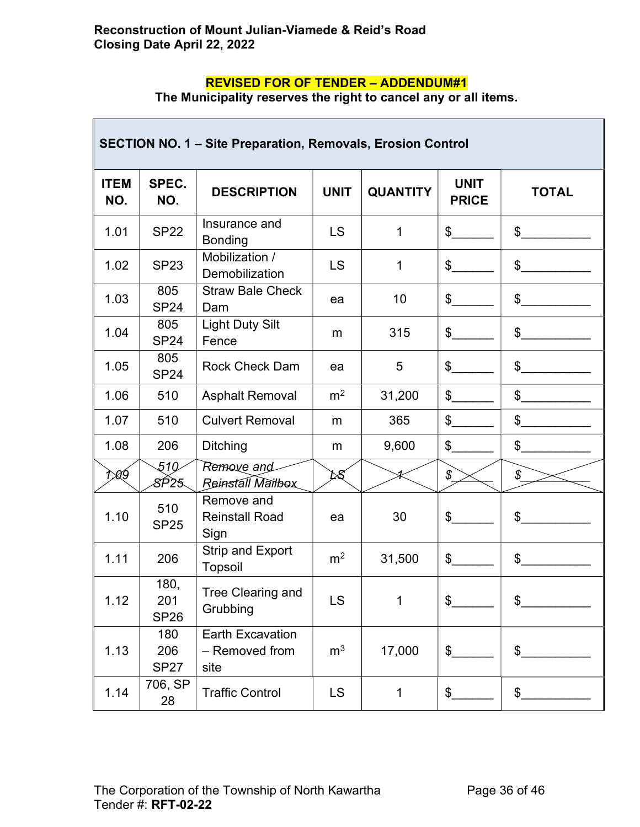## REVISED FOR OF TENDER – ADDENDUM#1

The Municipality reserves the right to cancel any or all items.

| <b>SECTION NO. 1 - Site Preparation, Removals, Erosion Control</b> |                            |                                                   |                |                 |                             |                |  |  |
|--------------------------------------------------------------------|----------------------------|---------------------------------------------------|----------------|-----------------|-----------------------------|----------------|--|--|
| <b>ITEM</b><br>NO.                                                 | SPEC.<br>NO.               | <b>DESCRIPTION</b>                                | <b>UNIT</b>    | <b>QUANTITY</b> | <b>UNIT</b><br><b>PRICE</b> | <b>TOTAL</b>   |  |  |
| 1.01                                                               | <b>SP22</b>                | Insurance and<br><b>Bonding</b>                   | LS             | 1               | $\frac{1}{2}$               | \$             |  |  |
| 1.02                                                               | <b>SP23</b>                | Mobilization /<br>Demobilization                  | LS             | $\mathbf{1}$    | \$                          | \$             |  |  |
| 1.03                                                               | 805<br><b>SP24</b>         | <b>Straw Bale Check</b><br>Dam                    | ea             | 10              | \$                          | $\mathfrak{S}$ |  |  |
| 1.04                                                               | 805<br><b>SP24</b>         | <b>Light Duty Silt</b><br>Fence                   | m              | 315             | \$                          | \$             |  |  |
| 1.05                                                               | 805<br><b>SP24</b>         | <b>Rock Check Dam</b>                             | ea             | 5               | \$                          | \$             |  |  |
| 1.06                                                               | 510                        | <b>Asphalt Removal</b>                            | m <sup>2</sup> | 31,200          | \$                          | \$             |  |  |
| 1.07                                                               | 510                        | <b>Culvert Removal</b>                            | m              | 365             | \$                          | \$             |  |  |
| 1.08                                                               | 206                        | <b>Ditching</b>                                   | m              | 9,600           | \$                          | \$             |  |  |
| t>ø∮                                                               | 510<br>8P25.               | Remove and<br>Reinstall Mailbox                   | DS.            |                 | \$                          | \$             |  |  |
| 1.10                                                               | 510<br><b>SP25</b>         | Remove and<br><b>Reinstall Road</b><br>Sign       | ea             | 30              | \$                          | \$             |  |  |
| 1.11                                                               | 206                        | Strip and Export<br>Topsoil                       | m <sup>2</sup> | 31,500          | \$                          | \$             |  |  |
| 1.12                                                               | 180,<br>201<br><b>SP26</b> | Tree Clearing and<br>Grubbing                     | LS             | 1               | \$                          | \$             |  |  |
| 1.13                                                               | 180<br>206<br><b>SP27</b>  | <b>Earth Excavation</b><br>- Removed from<br>site | m <sup>3</sup> | 17,000          | \$                          | \$             |  |  |
| 1.14                                                               | 706, SP<br>28              | <b>Traffic Control</b>                            | <b>LS</b>      | 1               | \$                          | \$             |  |  |

 $\overline{\phantom{a}}$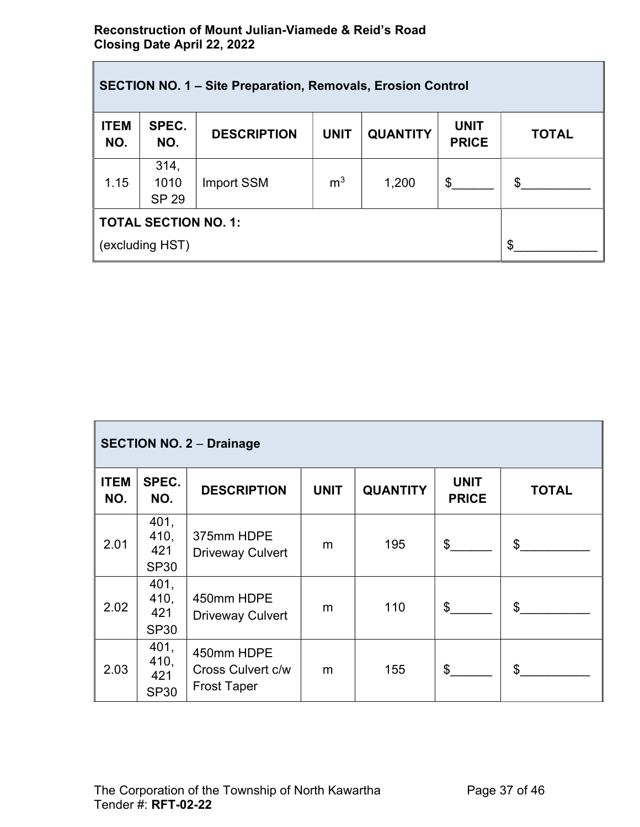## Reconstruction of Mount Julian-Viamede & Reid's Road Closing Date April 22, 2022

| <b>SECTION NO. 1 - Site Preparation, Removals, Erosion Control</b> |                              |                    |                |                 |                             |              |  |  |
|--------------------------------------------------------------------|------------------------------|--------------------|----------------|-----------------|-----------------------------|--------------|--|--|
| <b>ITEM</b><br>NO.                                                 | SPEC.<br>NO.                 | <b>DESCRIPTION</b> | <b>UNIT</b>    | <b>QUANTITY</b> | <b>UNIT</b><br><b>PRICE</b> | <b>TOTAL</b> |  |  |
| 1.15                                                               | 314,<br>1010<br><b>SP 29</b> | Import SSM         | m <sup>3</sup> | 1,200           | \$                          | \$           |  |  |
| <b>TOTAL SECTION NO. 1:</b><br>(excluding HST)                     | σ                            |                    |                |                 |                             |              |  |  |

| <b>SECTION NO. 2 - Drainage</b> |                                    |                                                       |             |                 |                             |              |  |  |
|---------------------------------|------------------------------------|-------------------------------------------------------|-------------|-----------------|-----------------------------|--------------|--|--|
| <b>ITEM</b><br>NO.              | SPEC.<br>NO.                       | <b>DESCRIPTION</b>                                    | <b>UNIT</b> | <b>QUANTITY</b> | <b>UNIT</b><br><b>PRICE</b> | <b>TOTAL</b> |  |  |
| 2.01                            | 401,<br>410,<br>421<br><b>SP30</b> | 375mm HDPE<br><b>Driveway Culvert</b>                 | m           | 195             | $\mathbb{S}^-$              | \$           |  |  |
| 2.02                            | 401,<br>410,<br>421<br><b>SP30</b> | 450mm HDPE<br><b>Driveway Culvert</b>                 | m           | 110             | $\mathbb{S}^-$              | \$           |  |  |
| 2.03                            | 401,<br>410,<br>421<br><b>SP30</b> | 450mm HDPE<br>Cross Culvert c/w<br><b>Frost Taper</b> | m           | 155             | $\mathfrak s$               | $\mathbb{S}$ |  |  |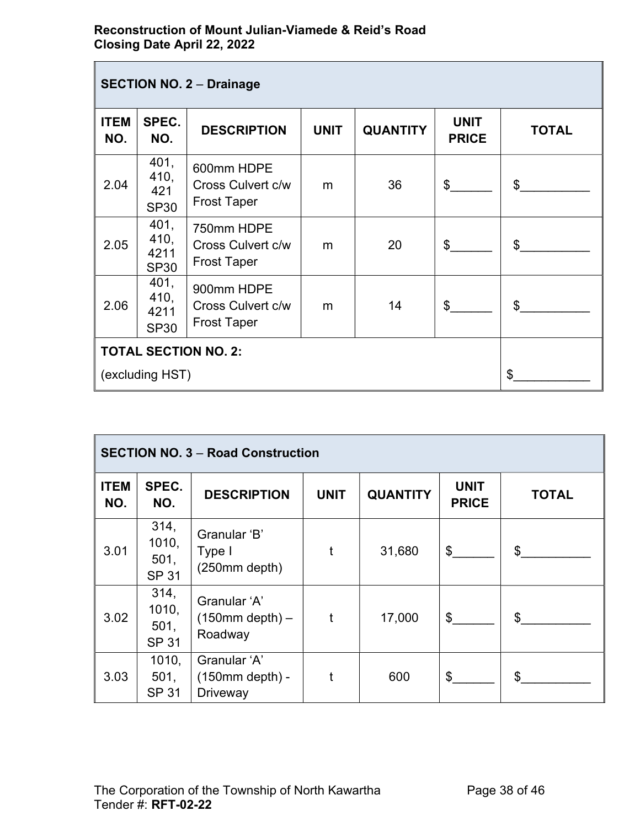## Reconstruction of Mount Julian-Viamede & Reid's Road Closing Date April 22, 2022

| <b>SECTION NO. 2 - Drainage</b> |                                     |                                                       |             |                 |                             |              |  |  |
|---------------------------------|-------------------------------------|-------------------------------------------------------|-------------|-----------------|-----------------------------|--------------|--|--|
| <b>ITEM</b><br>NO.              | SPEC.<br>NO.                        | <b>DESCRIPTION</b>                                    | <b>UNIT</b> | <b>QUANTITY</b> | <b>UNIT</b><br><b>PRICE</b> | <b>TOTAL</b> |  |  |
| 2.04                            | 401,<br>410,<br>421<br><b>SP30</b>  | 600mm HDPE<br>Cross Culvert c/w<br><b>Frost Taper</b> | m           | 36              | $\mathfrak{L}$              | \$           |  |  |
| 2.05                            | 401,<br>410,<br>4211<br><b>SP30</b> | 750mm HDPE<br>Cross Culvert c/w<br><b>Frost Taper</b> | m           | 20              | $\mathcal{S}$               | \$           |  |  |
| 2.06                            | 401,<br>410,<br>4211<br><b>SP30</b> | 900mm HDPE<br>Cross Culvert c/w<br><b>Frost Taper</b> | m           | 14              | $\mathbb{S}$                | $\mathbb{S}$ |  |  |
| <b>TOTAL SECTION NO. 2:</b>     |                                     |                                                       |             |                 |                             |              |  |  |
| (excluding HST)                 |                                     |                                                       |             |                 |                             | \$           |  |  |

| <b>SECTION NO. 3 - Road Construction</b> |                                       |                                                         |             |                 |                             |              |  |  |
|------------------------------------------|---------------------------------------|---------------------------------------------------------|-------------|-----------------|-----------------------------|--------------|--|--|
| <b>ITEM</b><br>NO.                       | SPEC.<br>NO.                          | <b>DESCRIPTION</b>                                      | <b>UNIT</b> | <b>QUANTITY</b> | <b>UNIT</b><br><b>PRICE</b> | <b>TOTAL</b> |  |  |
| 3.01                                     | 314,<br>1010,<br>501,<br><b>SP 31</b> | Granular 'B'<br>Type I<br>(250mm depth)                 | t           | 31,680          | \$                          | \$           |  |  |
| 3.02                                     | 314,<br>1010,<br>501,<br><b>SP 31</b> | Granular 'A'<br>$(150mm$ depth) –<br>Roadway            | $\mathbf t$ | 17,000          | \$                          | \$           |  |  |
| 3.03                                     | 1010,<br>501,<br><b>SP 31</b>         | Granular 'A'<br>$(150mm$ depth $) -$<br><b>Driveway</b> | t           | 600             | \$                          | \$           |  |  |